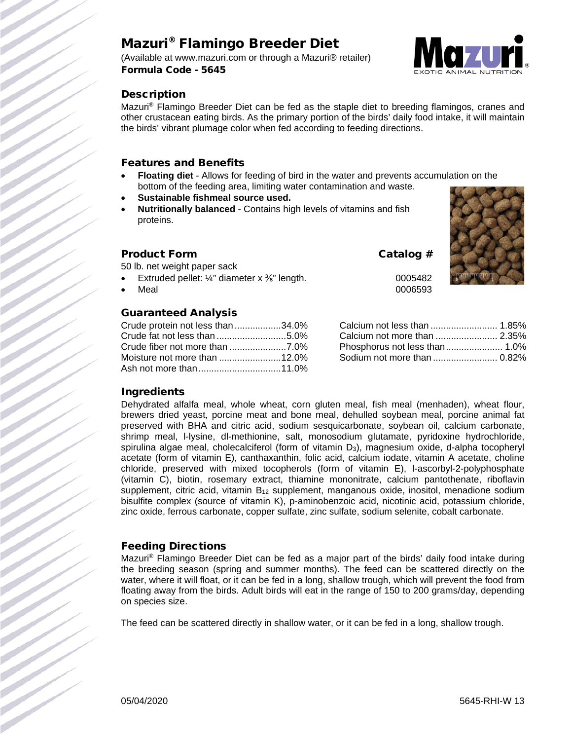# Mazuri® Flamingo Breeder Diet

(Available at www.mazuri.com or through a Mazuri® retailer) Formula Code - 5645



# **Description**

Mazuri® Flamingo Breeder Diet can be fed as the staple diet to breeding flamingos, cranes and other crustacean eating birds. As the primary portion of the birds' daily food intake, it will maintain the birds' vibrant plumage color when fed according to feeding directions.

## Features and Benefits

- **Floating diet** Allows for feeding of bird in the water and prevents accumulation on the bottom of the feeding area, limiting water contamination and waste.
- **Sustainable fishmeal source used.**
- **Nutritionally balanced** Contains high levels of vitamins and fish proteins.

## Product Form Catalog #

50 lb. net weight paper sack

- Extruded pellet:  $\frac{1}{4}$ " diameter x  $\frac{3}{8}$ " length. 0005482
- 

## Guaranteed Analysis

| Crude protein not less than 34.0% |  |
|-----------------------------------|--|
| Crude fat not less than 5.0%      |  |
|                                   |  |
|                                   |  |
|                                   |  |



• Meal  $0006593$ 

| Calcium not less than  1.85%  |  |
|-------------------------------|--|
| Calcium not more than  2.35%  |  |
| Phosphorus not less than 1.0% |  |
| Sodium not more than  0.82%   |  |

## **Ingredients**

Dehydrated alfalfa meal, whole wheat, corn gluten meal, fish meal (menhaden), wheat flour, brewers dried yeast, porcine meat and bone meal, dehulled soybean meal, porcine animal fat preserved with BHA and citric acid, sodium sesquicarbonate, soybean oil, calcium carbonate, shrimp meal, l-lysine, dl-methionine, salt, monosodium glutamate, pyridoxine hydrochloride, spirulina algae meal, cholecalciferol (form of vitamin D<sub>3</sub>), magnesium oxide, d-alpha tocopheryl acetate (form of vitamin E), canthaxanthin, folic acid, calcium iodate, vitamin A acetate, choline chloride, preserved with mixed tocopherols (form of vitamin E), l-ascorbyl-2-polyphosphate (vitamin C), biotin, rosemary extract, thiamine mononitrate, calcium pantothenate, riboflavin supplement, citric acid, vitamin  $B_{12}$  supplement, manganous oxide, inositol, menadione sodium bisulfite complex (source of vitamin K), p-aminobenzoic acid, nicotinic acid, potassium chloride, zinc oxide, ferrous carbonate, copper sulfate, zinc sulfate, sodium selenite, cobalt carbonate.

## Feeding Directions

Mazuri® Flamingo Breeder Diet can be fed as a major part of the birds' daily food intake during the breeding season (spring and summer months). The feed can be scattered directly on the water, where it will float, or it can be fed in a long, shallow trough, which will prevent the food from floating away from the birds. Adult birds will eat in the range of 150 to 200 grams/day, depending on species size.

The feed can be scattered directly in shallow water, or it can be fed in a long, shallow trough.